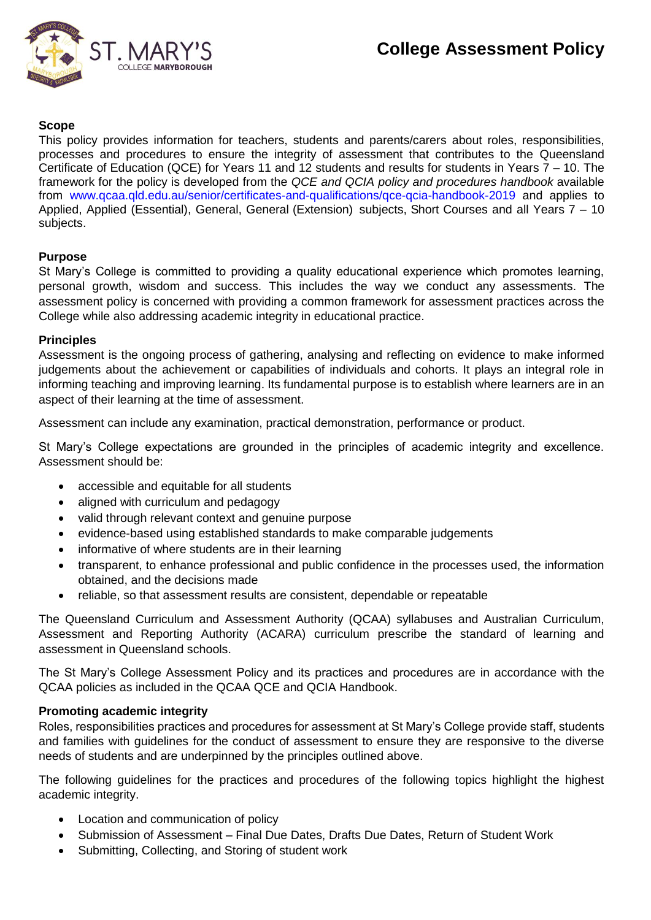

#### **Scope**

This policy provides information for teachers, students and parents/carers about roles, responsibilities, processes and procedures to ensure the integrity of assessment that contributes to the Queensland Certificate of Education (QCE) for Years 11 and 12 students and results for students in Years 7 – 10. The framework for the policy is developed from the *QCE and QCIA policy and procedures handbook* available from [www.qcaa.qld.edu.au/senior/certificates-and-qualifications/qce-qcia-handbook-2019](https://www.qcaa.qld.edu.au/senior/certificates-and-qualifications/qce-qcia-handbook-2019) and applies to Applied, Applied (Essential), General, General (Extension) subjects, Short Courses and all Years 7 – 10 subjects.

#### **Purpose**

St Mary's College is committed to providing a quality educational experience which promotes learning, personal growth, wisdom and success. This includes the way we conduct any assessments. The assessment policy is concerned with providing a common framework for assessment practices across the College while also addressing academic integrity in educational practice.

#### **Principles**

Assessment is the ongoing process of gathering, analysing and reflecting on evidence to make informed judgements about the achievement or capabilities of individuals and cohorts. It plays an integral role in informing teaching and improving learning. Its fundamental purpose is to establish where learners are in an aspect of their learning at the time of assessment.

Assessment can include any examination, practical demonstration, performance or product.

St Mary's College expectations are grounded in the principles of academic integrity and excellence. Assessment should be:

- accessible and equitable for all students
- aligned with curriculum and pedagogy
- valid through relevant context and genuine purpose
- evidence-based using established standards to make comparable judgements
- informative of where students are in their learning
- transparent, to enhance professional and public confidence in the processes used, the information obtained, and the decisions made
- reliable, so that assessment results are consistent, dependable or repeatable

The Queensland Curriculum and Assessment Authority (QCAA) syllabuses and Australian Curriculum, Assessment and Reporting Authority (ACARA) curriculum prescribe the standard of learning and assessment in Queensland schools.

The St Mary's College Assessment Policy and its practices and procedures are in accordance with the QCAA policies as included in the QCAA QCE and QCIA Handbook.

#### **Promoting academic integrity**

Roles, responsibilities practices and procedures for assessment at St Mary's College provide staff, students and families with guidelines for the conduct of assessment to ensure they are responsive to the diverse needs of students and are underpinned by the principles outlined above.

The following guidelines for the practices and procedures of the following topics highlight the highest academic integrity.

- Location and communication of policy
- Submission of Assessment Final Due Dates, Drafts Due Dates, Return of Student Work
- Submitting, Collecting, and Storing of student work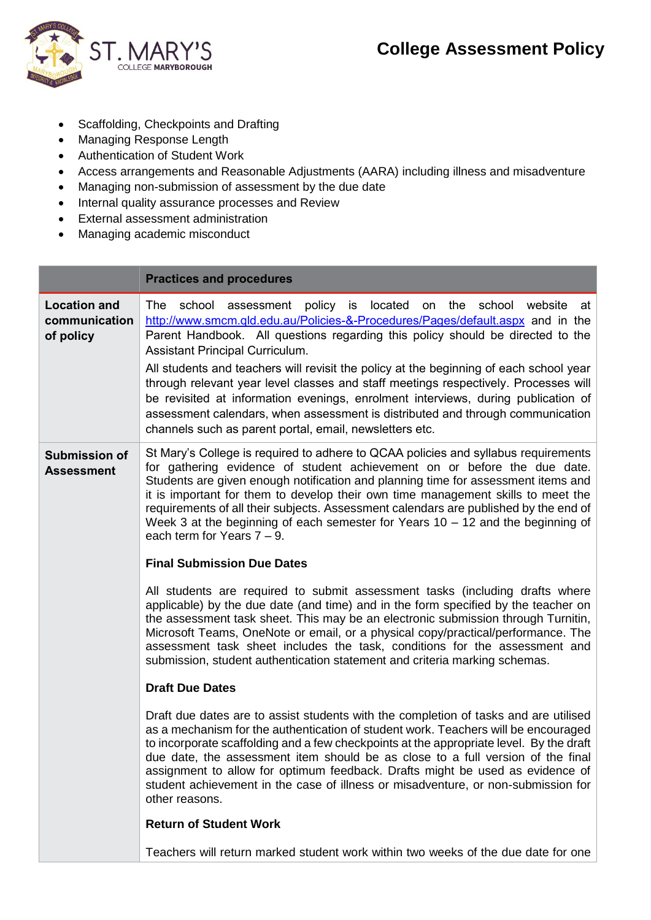

- Scaffolding, Checkpoints and Drafting
- Managing Response Length
- Authentication of Student Work
- Access arrangements and Reasonable Adjustments (AARA) including illness and misadventure
- Managing non-submission of assessment by the due date
- Internal quality assurance processes and Review
- External assessment administration
- Managing academic misconduct

|                                                   | <b>Practices and procedures</b>                                                                                                                                                                                                                                                                                                                                                                                                                                                                                                                                                                                                                                                                   |  |
|---------------------------------------------------|---------------------------------------------------------------------------------------------------------------------------------------------------------------------------------------------------------------------------------------------------------------------------------------------------------------------------------------------------------------------------------------------------------------------------------------------------------------------------------------------------------------------------------------------------------------------------------------------------------------------------------------------------------------------------------------------------|--|
| <b>Location and</b><br>communication<br>of policy | The<br>school assessment policy is located on the school website<br>at∣<br>http://www.smcm.gld.edu.au/Policies-&-Procedures/Pages/default.aspx and in the<br>Parent Handbook. All questions regarding this policy should be directed to the<br>Assistant Principal Curriculum.<br>All students and teachers will revisit the policy at the beginning of each school year<br>through relevant year level classes and staff meetings respectively. Processes will<br>be revisited at information evenings, enrolment interviews, during publication of<br>assessment calendars, when assessment is distributed and through communication<br>channels such as parent portal, email, newsletters etc. |  |
| <b>Submission of</b><br><b>Assessment</b>         | St Mary's College is required to adhere to QCAA policies and syllabus requirements<br>for gathering evidence of student achievement on or before the due date.<br>Students are given enough notification and planning time for assessment items and<br>it is important for them to develop their own time management skills to meet the<br>requirements of all their subjects. Assessment calendars are published by the end of<br>Week 3 at the beginning of each semester for Years $10 - 12$ and the beginning of<br>each term for Years $7 - 9$ .<br><b>Final Submission Due Dates</b>                                                                                                        |  |
|                                                   |                                                                                                                                                                                                                                                                                                                                                                                                                                                                                                                                                                                                                                                                                                   |  |
|                                                   | All students are required to submit assessment tasks (including drafts where<br>applicable) by the due date (and time) and in the form specified by the teacher on<br>the assessment task sheet. This may be an electronic submission through Turnitin,<br>Microsoft Teams, OneNote or email, or a physical copy/practical/performance. The<br>assessment task sheet includes the task, conditions for the assessment and<br>submission, student authentication statement and criteria marking schemas.                                                                                                                                                                                           |  |
|                                                   | <b>Draft Due Dates</b>                                                                                                                                                                                                                                                                                                                                                                                                                                                                                                                                                                                                                                                                            |  |
|                                                   | Draft due dates are to assist students with the completion of tasks and are utilised<br>as a mechanism for the authentication of student work. Teachers will be encouraged<br>to incorporate scaffolding and a few checkpoints at the appropriate level. By the draft<br>due date, the assessment item should be as close to a full version of the final<br>assignment to allow for optimum feedback. Drafts might be used as evidence of<br>student achievement in the case of illness or misadventure, or non-submission for<br>other reasons.                                                                                                                                                  |  |
|                                                   | <b>Return of Student Work</b>                                                                                                                                                                                                                                                                                                                                                                                                                                                                                                                                                                                                                                                                     |  |
|                                                   | Teachers will return marked student work within two weeks of the due date for one                                                                                                                                                                                                                                                                                                                                                                                                                                                                                                                                                                                                                 |  |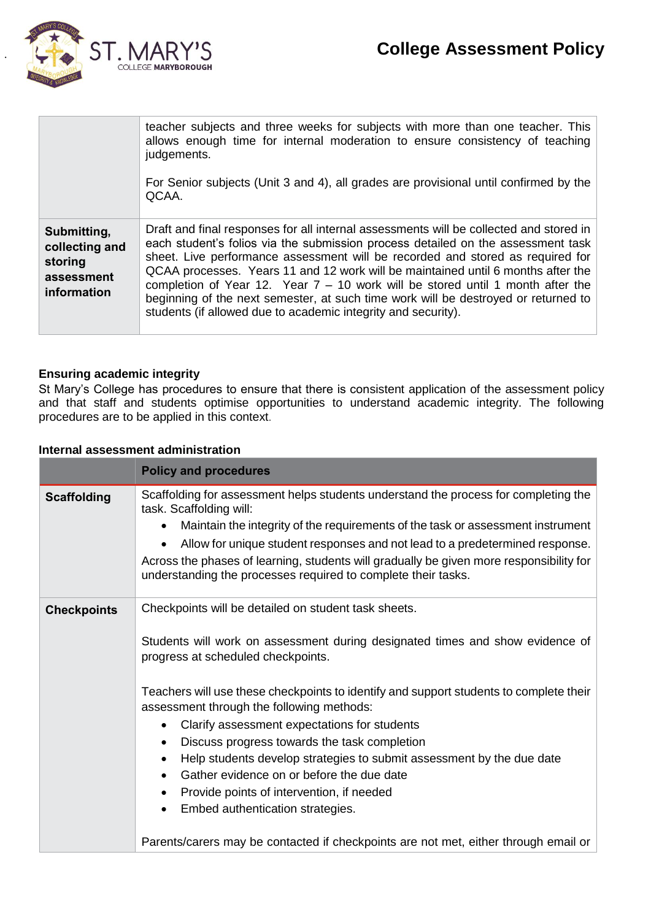



|                                                                       | teacher subjects and three weeks for subjects with more than one teacher. This<br>allows enough time for internal moderation to ensure consistency of teaching<br>judgements.<br>For Senior subjects (Unit 3 and 4), all grades are provisional until confirmed by the<br>QCAA.                                                                                                                                                                                                                                                                                                             |
|-----------------------------------------------------------------------|---------------------------------------------------------------------------------------------------------------------------------------------------------------------------------------------------------------------------------------------------------------------------------------------------------------------------------------------------------------------------------------------------------------------------------------------------------------------------------------------------------------------------------------------------------------------------------------------|
| Submitting,<br>collecting and<br>storing<br>assessment<br>information | Draft and final responses for all internal assessments will be collected and stored in<br>each student's folios via the submission process detailed on the assessment task<br>sheet. Live performance assessment will be recorded and stored as required for<br>QCAA processes. Years 11 and 12 work will be maintained until 6 months after the<br>completion of Year 12. Year $7 - 10$ work will be stored until 1 month after the<br>beginning of the next semester, at such time work will be destroyed or returned to<br>students (if allowed due to academic integrity and security). |

#### **Ensuring academic integrity**

St Mary's College has procedures to ensure that there is consistent application of the assessment policy and that staff and students optimise opportunities to understand academic integrity. The following procedures are to be applied in this context.

#### **Internal assessment administration**

|                    | <b>Policy and procedures</b>                                                                                                                                                                                                                                                                                                                                                                                                                                                                                                                                                                                              |
|--------------------|---------------------------------------------------------------------------------------------------------------------------------------------------------------------------------------------------------------------------------------------------------------------------------------------------------------------------------------------------------------------------------------------------------------------------------------------------------------------------------------------------------------------------------------------------------------------------------------------------------------------------|
| <b>Scaffolding</b> | Scaffolding for assessment helps students understand the process for completing the<br>task. Scaffolding will:<br>Maintain the integrity of the requirements of the task or assessment instrument<br>Allow for unique student responses and not lead to a predetermined response.<br>Across the phases of learning, students will gradually be given more responsibility for<br>understanding the processes required to complete their tasks.                                                                                                                                                                             |
| <b>Checkpoints</b> | Checkpoints will be detailed on student task sheets.<br>Students will work on assessment during designated times and show evidence of<br>progress at scheduled checkpoints.<br>Teachers will use these checkpoints to identify and support students to complete their<br>assessment through the following methods:<br>Clarify assessment expectations for students<br>Discuss progress towards the task completion<br>Help students develop strategies to submit assessment by the due date<br>Gather evidence on or before the due date<br>Provide points of intervention, if needed<br>Embed authentication strategies. |
|                    | Parents/carers may be contacted if checkpoints are not met, either through email or                                                                                                                                                                                                                                                                                                                                                                                                                                                                                                                                       |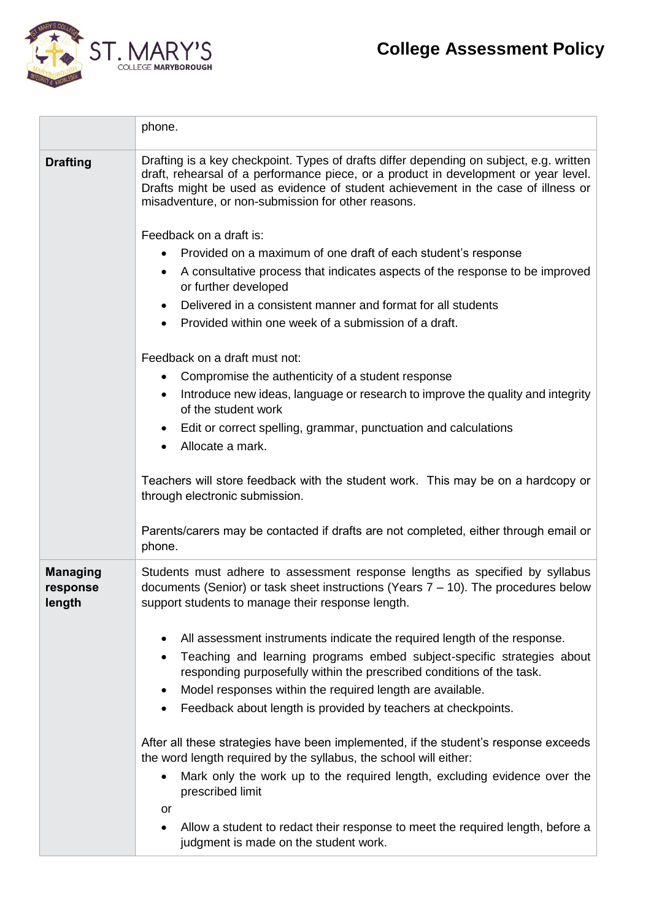

|                                                                                                                              | phone.                                                                                                                                                                                                                                                                                                                                                                              |  |
|------------------------------------------------------------------------------------------------------------------------------|-------------------------------------------------------------------------------------------------------------------------------------------------------------------------------------------------------------------------------------------------------------------------------------------------------------------------------------------------------------------------------------|--|
| <b>Drafting</b>                                                                                                              | Drafting is a key checkpoint. Types of drafts differ depending on subject, e.g. written<br>draft, rehearsal of a performance piece, or a product in development or year level.<br>Drafts might be used as evidence of student achievement in the case of illness or<br>misadventure, or non-submission for other reasons.                                                           |  |
|                                                                                                                              | Feedback on a draft is:                                                                                                                                                                                                                                                                                                                                                             |  |
|                                                                                                                              | Provided on a maximum of one draft of each student's response<br>$\bullet$                                                                                                                                                                                                                                                                                                          |  |
|                                                                                                                              | A consultative process that indicates aspects of the response to be improved<br>$\bullet$<br>or further developed                                                                                                                                                                                                                                                                   |  |
|                                                                                                                              | Delivered in a consistent manner and format for all students                                                                                                                                                                                                                                                                                                                        |  |
|                                                                                                                              | Provided within one week of a submission of a draft.<br>$\bullet$                                                                                                                                                                                                                                                                                                                   |  |
|                                                                                                                              | Feedback on a draft must not:                                                                                                                                                                                                                                                                                                                                                       |  |
|                                                                                                                              | Compromise the authenticity of a student response<br>$\bullet$                                                                                                                                                                                                                                                                                                                      |  |
|                                                                                                                              | Introduce new ideas, language or research to improve the quality and integrity<br>$\bullet$<br>of the student work                                                                                                                                                                                                                                                                  |  |
|                                                                                                                              | Edit or correct spelling, grammar, punctuation and calculations<br>Allocate a mark.                                                                                                                                                                                                                                                                                                 |  |
|                                                                                                                              | Teachers will store feedback with the student work. This may be on a hardcopy or<br>through electronic submission.                                                                                                                                                                                                                                                                  |  |
|                                                                                                                              | Parents/carers may be contacted if drafts are not completed, either through email or<br>phone.                                                                                                                                                                                                                                                                                      |  |
| <b>Managing</b><br>response<br>length                                                                                        | Students must adhere to assessment response lengths as specified by syllabus<br>documents (Senior) or task sheet instructions (Years $7 - 10$ ). The procedures below<br>support students to manage their response length.                                                                                                                                                          |  |
|                                                                                                                              | All assessment instruments indicate the required length of the response.<br>Teaching and learning programs embed subject-specific strategies about<br>$\bullet$<br>responding purposefully within the prescribed conditions of the task.<br>Model responses within the required length are available.<br>$\bullet$<br>Feedback about length is provided by teachers at checkpoints. |  |
|                                                                                                                              | After all these strategies have been implemented, if the student's response exceeds<br>the word length required by the syllabus, the school will either:                                                                                                                                                                                                                            |  |
|                                                                                                                              | Mark only the work up to the required length, excluding evidence over the<br>$\bullet$<br>prescribed limit                                                                                                                                                                                                                                                                          |  |
|                                                                                                                              | or                                                                                                                                                                                                                                                                                                                                                                                  |  |
| Allow a student to redact their response to meet the required length, before a<br>٠<br>judgment is made on the student work. |                                                                                                                                                                                                                                                                                                                                                                                     |  |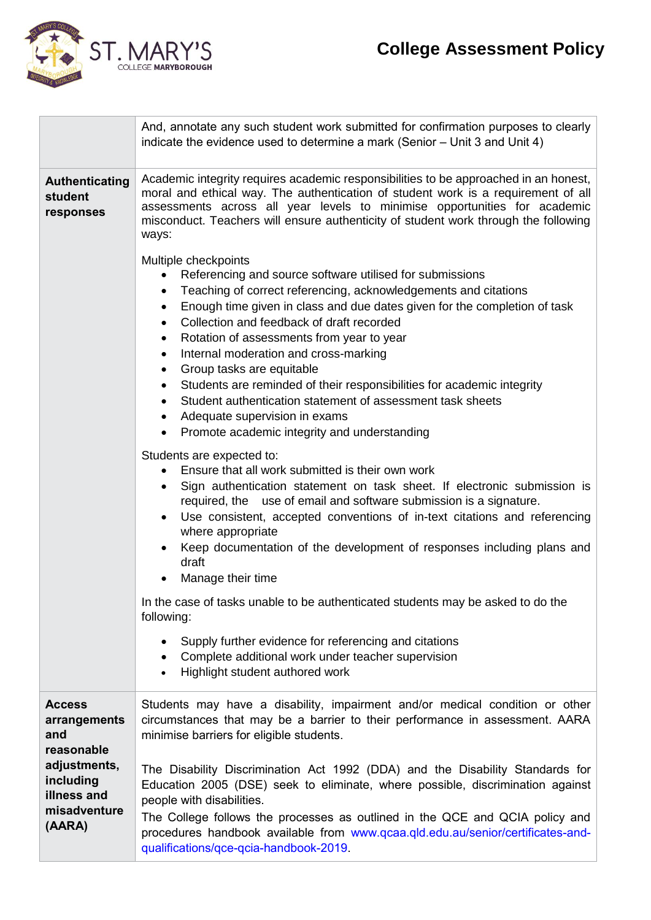# **College Assessment Policy**



 $\overline{a}$ 

|                                                    | And, annotate any such student work submitted for confirmation purposes to clearly<br>indicate the evidence used to determine a mark (Senior - Unit 3 and Unit 4)                                                                                                                                                                                                                                                                                                                                                                                                                                                                                                                  |  |  |
|----------------------------------------------------|------------------------------------------------------------------------------------------------------------------------------------------------------------------------------------------------------------------------------------------------------------------------------------------------------------------------------------------------------------------------------------------------------------------------------------------------------------------------------------------------------------------------------------------------------------------------------------------------------------------------------------------------------------------------------------|--|--|
| <b>Authenticating</b><br>student<br>responses      | Academic integrity requires academic responsibilities to be approached in an honest,<br>moral and ethical way. The authentication of student work is a requirement of all<br>assessments across all year levels to minimise opportunities for academic<br>misconduct. Teachers will ensure authenticity of student work through the following<br>ways:                                                                                                                                                                                                                                                                                                                             |  |  |
|                                                    | Multiple checkpoints<br>Referencing and source software utilised for submissions<br>Teaching of correct referencing, acknowledgements and citations<br>Enough time given in class and due dates given for the completion of task<br>$\bullet$<br>Collection and feedback of draft recorded<br>$\bullet$<br>Rotation of assessments from year to year<br>٠<br>Internal moderation and cross-marking<br>Group tasks are equitable<br>Students are reminded of their responsibilities for academic integrity<br>$\bullet$<br>Student authentication statement of assessment task sheets<br>$\bullet$<br>Adequate supervision in exams<br>Promote academic integrity and understanding |  |  |
|                                                    | Students are expected to:<br>Ensure that all work submitted is their own work<br>Sign authentication statement on task sheet. If electronic submission is<br>$\bullet$<br>required, the use of email and software submission is a signature.<br>Use consistent, accepted conventions of in-text citations and referencing<br>where appropriate<br>Keep documentation of the development of responses including plans and<br>draft<br>Manage their time                                                                                                                                                                                                                             |  |  |
|                                                    | In the case of tasks unable to be authenticated students may be asked to do the<br>following:                                                                                                                                                                                                                                                                                                                                                                                                                                                                                                                                                                                      |  |  |
|                                                    | Supply further evidence for referencing and citations<br>Complete additional work under teacher supervision<br>Highlight student authored work                                                                                                                                                                                                                                                                                                                                                                                                                                                                                                                                     |  |  |
| <b>Access</b><br>arrangements<br>and<br>reasonable | Students may have a disability, impairment and/or medical condition or other<br>circumstances that may be a barrier to their performance in assessment. AARA<br>minimise barriers for eligible students.                                                                                                                                                                                                                                                                                                                                                                                                                                                                           |  |  |
| adjustments,<br>including<br>illness and           | The Disability Discrimination Act 1992 (DDA) and the Disability Standards for<br>Education 2005 (DSE) seek to eliminate, where possible, discrimination against<br>people with disabilities.                                                                                                                                                                                                                                                                                                                                                                                                                                                                                       |  |  |
| misadventure<br>(AARA)                             | The College follows the processes as outlined in the QCE and QCIA policy and<br>procedures handbook available from www.qcaa.qld.edu.au/senior/certificates-and-<br>qualifications/qce-qcia-handbook-2019.                                                                                                                                                                                                                                                                                                                                                                                                                                                                          |  |  |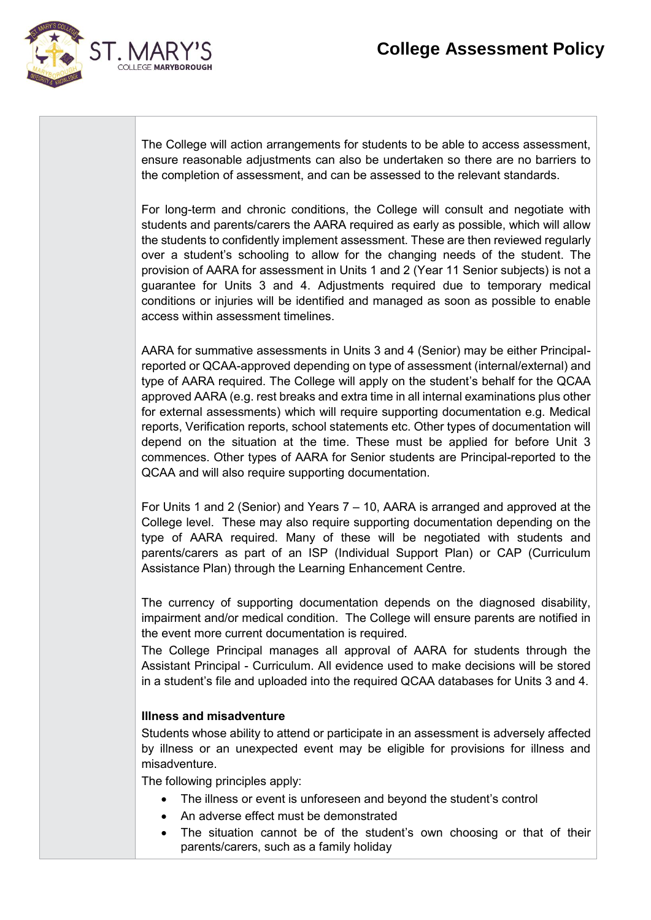

The College will action arrangements for students to be able to access assessment, ensure reasonable adjustments can also be undertaken so there are no barriers to the completion of assessment, and can be assessed to the relevant standards.

For long-term and chronic conditions, the College will consult and negotiate with students and parents/carers the AARA required as early as possible, which will allow the students to confidently implement assessment. These are then reviewed regularly over a student's schooling to allow for the changing needs of the student. The provision of AARA for assessment in Units 1 and 2 (Year 11 Senior subjects) is not a guarantee for Units 3 and 4. Adjustments required due to temporary medical conditions or injuries will be identified and managed as soon as possible to enable access within assessment timelines.

AARA for summative assessments in Units 3 and 4 (Senior) may be either Principalreported or QCAA-approved depending on type of assessment (internal/external) and type of AARA required. The College will apply on the student's behalf for the QCAA approved AARA (e.g. rest breaks and extra time in all internal examinations plus other for external assessments) which will require supporting documentation e.g. Medical reports, Verification reports, school statements etc. Other types of documentation will depend on the situation at the time. These must be applied for before Unit 3 commences. Other types of AARA for Senior students are Principal-reported to the QCAA and will also require supporting documentation.

For Units 1 and 2 (Senior) and Years 7 – 10, AARA is arranged and approved at the College level. These may also require supporting documentation depending on the type of AARA required. Many of these will be negotiated with students and parents/carers as part of an ISP (Individual Support Plan) or CAP (Curriculum Assistance Plan) through the Learning Enhancement Centre.

The currency of supporting documentation depends on the diagnosed disability, impairment and/or medical condition. The College will ensure parents are notified in the event more current documentation is required.

The College Principal manages all approval of AARA for students through the Assistant Principal - Curriculum. All evidence used to make decisions will be stored in a student's file and uploaded into the required QCAA databases for Units 3 and 4.

#### **Illness and misadventure**

Students whose ability to attend or participate in an assessment is adversely affected by illness or an unexpected event may be eligible for provisions for illness and misadventure.

The following principles apply:

- The illness or event is unforeseen and beyond the student's control
- An adverse effect must be demonstrated
- The situation cannot be of the student's own choosing or that of their parents/carers, such as a family holiday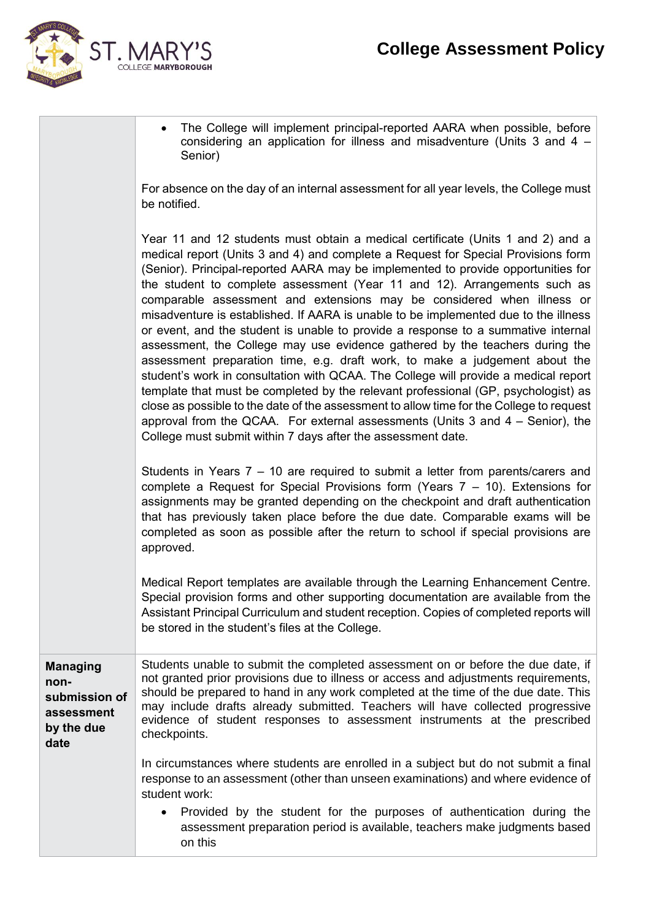

| • The College will implement principal-reported AARA when possible, before<br>considering an application for illness and misadventure (Units 3 and 4 -<br>Senior)    |
|----------------------------------------------------------------------------------------------------------------------------------------------------------------------|
| For absence on the day of an internal assessment for all year levels, the College must<br>be notified.                                                               |
| Year 11 and 12 students must obtain a medical certificate (Units 1 and 2) and a<br>medical report (Units 3 and 4) and complete a Request for Special Provisions form |

port (Units 3 and 4) and complete a Request for Special Provisions form: (Senior). Principal-reported AARA may be implemented to provide opportunities for the student to complete assessment (Year 11 and 12). Arrangements such as comparable assessment and extensions may be considered when illness or misadventure is established. If AARA is unable to be implemented due to the illness or event, and the student is unable to provide a response to a summative internal assessment, the College may use evidence gathered by the teachers during the assessment preparation time, e.g. draft work, to make a judgement about the student's work in consultation with QCAA. The College will provide a medical report template that must be completed by the relevant professional (GP, psychologist) as close as possible to the date of the assessment to allow time for the College to request approval from the QCAA. For external assessments (Units 3 and 4 – Senior), the College must submit within 7 days after the assessment date.

Students in Years 7 – 10 are required to submit a letter from parents/carers and complete a Request for Special Provisions form (Years 7 – 10). Extensions for assignments may be granted depending on the checkpoint and draft authentication that has previously taken place before the due date. Comparable exams will be completed as soon as possible after the return to school if special provisions are approved.

Medical Report templates are available through the Learning Enhancement Centre. Special provision forms and other supporting documentation are available from the Assistant Principal Curriculum and student reception. Copies of completed reports will be stored in the student's files at the College.

**Managing nonsubmission of assessment by the due date** Students unable to submit the completed assessment on or before the due date, if not granted prior provisions due to illness or access and adjustments requirements, should be prepared to hand in any work completed at the time of the due date. This may include drafts already submitted. Teachers will have collected progressive evidence of student responses to assessment instruments at the prescribed checkpoints.

> In circumstances where students are enrolled in a subject but do not submit a final response to an assessment (other than unseen examinations) and where evidence of student work:

• Provided by the student for the purposes of authentication during the assessment preparation period is available, teachers make judgments based on this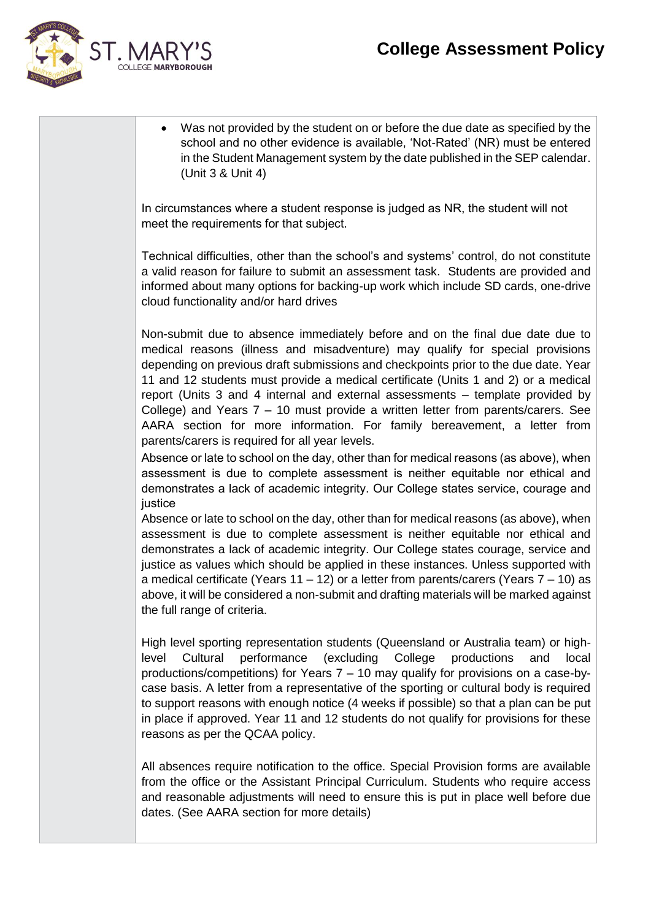## **College Assessment Policy**



• Was not provided by the student on or before the due date as specified by the school and no other evidence is available, 'Not-Rated' (NR) must be entered in the Student Management system by the date published in the SEP calendar. (Unit 3 & Unit 4)

In circumstances where a student response is judged as NR, the student will not meet the requirements for that subject.

Technical difficulties, other than the school's and systems' control, do not constitute a valid reason for failure to submit an assessment task. Students are provided and informed about many options for backing-up work which include SD cards, one-drive cloud functionality and/or hard drives

Non-submit due to absence immediately before and on the final due date due to medical reasons (illness and misadventure) may qualify for special provisions depending on previous draft submissions and checkpoints prior to the due date. Year 11 and 12 students must provide a medical certificate (Units 1 and 2) or a medical report (Units 3 and 4 internal and external assessments – template provided by College) and Years 7 – 10 must provide a written letter from parents/carers. See AARA section for more information. For family bereavement, a letter from parents/carers is required for all year levels.

Absence or late to school on the day, other than for medical reasons (as above), when assessment is due to complete assessment is neither equitable nor ethical and demonstrates a lack of academic integrity. Our College states service, courage and justice

Absence or late to school on the day, other than for medical reasons (as above), when assessment is due to complete assessment is neither equitable nor ethical and demonstrates a lack of academic integrity. Our College states courage, service and justice as values which should be applied in these instances. Unless supported with a medical certificate (Years  $11 - 12$ ) or a letter from parents/carers (Years  $7 - 10$ ) as above, it will be considered a non-submit and drafting materials will be marked against the full range of criteria.

High level sporting representation students (Queensland or Australia team) or highlevel Cultural performance (excluding College productions and local productions/competitions) for Years 7 – 10 may qualify for provisions on a case-bycase basis. A letter from a representative of the sporting or cultural body is required to support reasons with enough notice (4 weeks if possible) so that a plan can be put in place if approved. Year 11 and 12 students do not qualify for provisions for these reasons as per the QCAA policy.

All absences require notification to the office. Special Provision forms are available from the office or the Assistant Principal Curriculum. Students who require access and reasonable adjustments will need to ensure this is put in place well before due dates. (See AARA section for more details)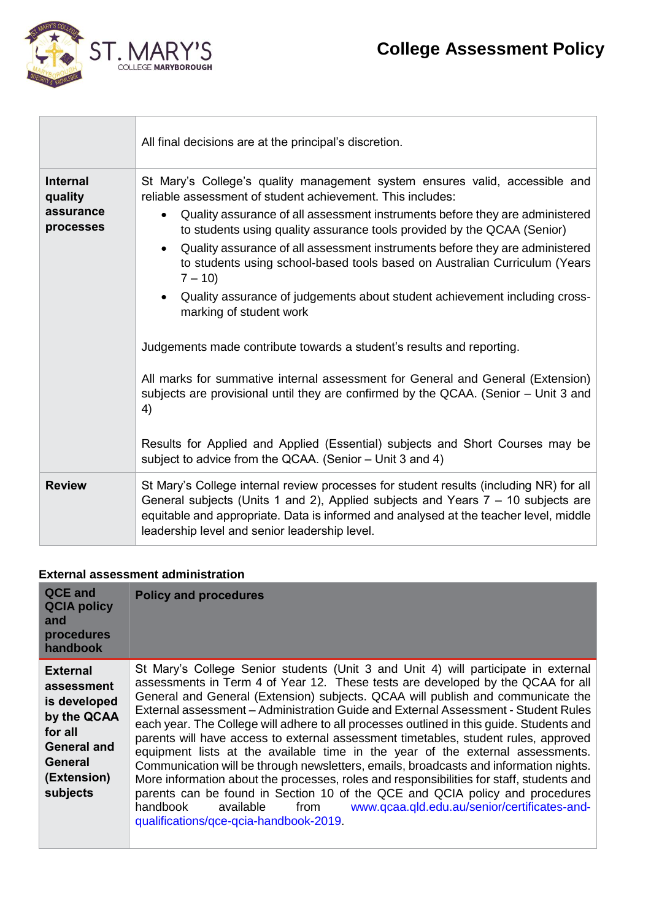

 $\label{eq:2.1} \left\{ \begin{array}{ll} \mathcal{L}_{\text{max}}(\mathbf{X}) & \mathcal{L}_{\text{max}}(\mathbf{X}) \\ \mathcal{L}_{\text{max}}(\mathbf{X}) & \mathcal{L}_{\text{max}}(\mathbf{X}) \end{array} \right\}$ 

|                                                      | All final decisions are at the principal's discretion.                                                                                                                                                                                                                                                                                                                                                                                                                                      |
|------------------------------------------------------|---------------------------------------------------------------------------------------------------------------------------------------------------------------------------------------------------------------------------------------------------------------------------------------------------------------------------------------------------------------------------------------------------------------------------------------------------------------------------------------------|
| <b>Internal</b><br>quality<br>assurance<br>processes | St Mary's College's quality management system ensures valid, accessible and<br>reliable assessment of student achievement. This includes:<br>Quality assurance of all assessment instruments before they are administered<br>$\bullet$<br>to students using quality assurance tools provided by the QCAA (Senior)<br>Quality assurance of all assessment instruments before they are administered<br>to students using school-based tools based on Australian Curriculum (Years<br>$7 - 10$ |
|                                                      | • Quality assurance of judgements about student achievement including cross-<br>marking of student work<br>Judgements made contribute towards a student's results and reporting.<br>All marks for summative internal assessment for General and General (Extension)<br>subjects are provisional until they are confirmed by the QCAA. (Senior - Unit 3 and<br>4)<br>Results for Applied and Applied (Essential) subjects and Short Courses may be                                           |
| <b>Review</b>                                        | subject to advice from the QCAA. (Senior - Unit 3 and 4)<br>St Mary's College internal review processes for student results (including NR) for all<br>General subjects (Units 1 and 2), Applied subjects and Years 7 - 10 subjects are<br>equitable and appropriate. Data is informed and analysed at the teacher level, middle<br>leadership level and senior leadership level.                                                                                                            |

### **External assessment administration**

| <b>QCE and</b><br><b>QCIA policy</b><br>and<br>procedures<br>handbook                                                        | <b>Policy and procedures</b>                                                                                                                                                                                                                                                                                                                                                                                                                                                                                                                                                                                                                                                                                                                                                                                                                                                                                                                                                                                        |
|------------------------------------------------------------------------------------------------------------------------------|---------------------------------------------------------------------------------------------------------------------------------------------------------------------------------------------------------------------------------------------------------------------------------------------------------------------------------------------------------------------------------------------------------------------------------------------------------------------------------------------------------------------------------------------------------------------------------------------------------------------------------------------------------------------------------------------------------------------------------------------------------------------------------------------------------------------------------------------------------------------------------------------------------------------------------------------------------------------------------------------------------------------|
| <b>External</b><br>assessment<br>is developed<br>by the QCAA<br>for all<br>General and<br>General<br>(Extension)<br>subjects | St Mary's College Senior students (Unit 3 and Unit 4) will participate in external<br>assessments in Term 4 of Year 12. These tests are developed by the QCAA for all<br>General and General (Extension) subjects. QCAA will publish and communicate the<br>External assessment - Administration Guide and External Assessment - Student Rules<br>each year. The College will adhere to all processes outlined in this guide. Students and<br>parents will have access to external assessment timetables, student rules, approved<br>equipment lists at the available time in the year of the external assessments.<br>Communication will be through newsletters, emails, broadcasts and information nights.<br>More information about the processes, roles and responsibilities for staff, students and<br>parents can be found in Section 10 of the QCE and QCIA policy and procedures<br>www.qcaa.qld.edu.au/senior/certificates-and-<br>handbook<br>available<br>from<br>qualifications/gce-gcia-handbook-2019. |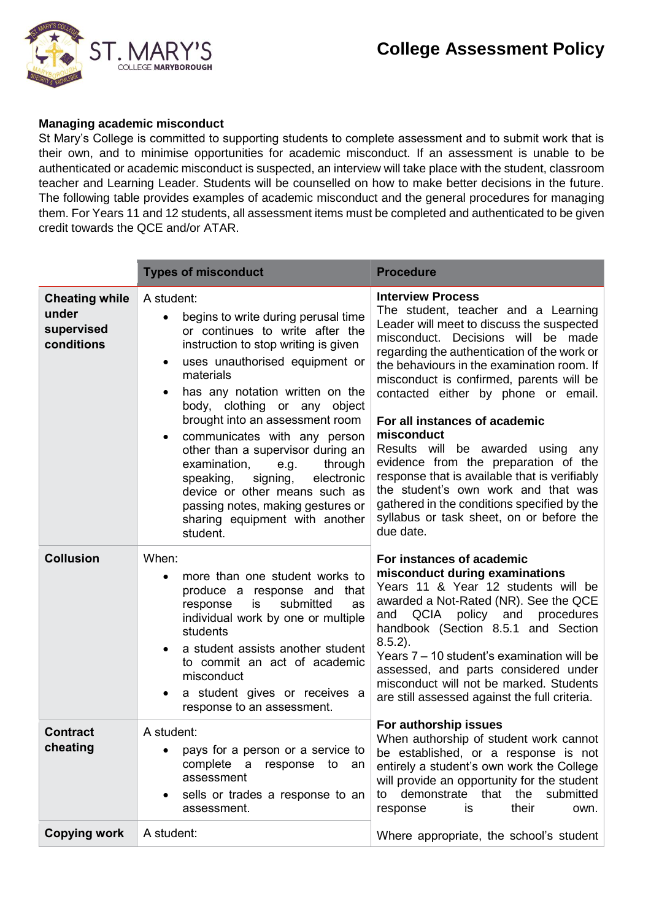

#### **Managing academic misconduct**

St Mary's College is committed to supporting students to complete assessment and to submit work that is their own, and to minimise opportunities for academic misconduct. If an assessment is unable to be authenticated or academic misconduct is suspected, an interview will take place with the student, classroom teacher and Learning Leader. Students will be counselled on how to make better decisions in the future. The following table provides examples of academic misconduct and the general procedures for managing them. For Years 11 and 12 students, all assessment items must be completed and authenticated to be given credit towards the QCE and/or ATAR.

|                                                            | <b>Types of misconduct</b>                                                                                                                                                                                                                                                                                                                                                                                                                                                                                                                                        | <b>Procedure</b>                                                                                                                                                                                                                                                                                                                                                                                                                                                                                                                                                                                                                                                  |
|------------------------------------------------------------|-------------------------------------------------------------------------------------------------------------------------------------------------------------------------------------------------------------------------------------------------------------------------------------------------------------------------------------------------------------------------------------------------------------------------------------------------------------------------------------------------------------------------------------------------------------------|-------------------------------------------------------------------------------------------------------------------------------------------------------------------------------------------------------------------------------------------------------------------------------------------------------------------------------------------------------------------------------------------------------------------------------------------------------------------------------------------------------------------------------------------------------------------------------------------------------------------------------------------------------------------|
| <b>Cheating while</b><br>under<br>supervised<br>conditions | A student:<br>begins to write during perusal time<br>or continues to write after the<br>instruction to stop writing is given<br>uses unauthorised equipment or<br>materials<br>has any notation written on the<br>$\bullet$<br>body, clothing or any object<br>brought into an assessment room<br>communicates with any person<br>other than a supervisor during an<br>examination,<br>through<br>e.g.<br>electronic<br>speaking,<br>signing,<br>device or other means such as<br>passing notes, making gestures or<br>sharing equipment with another<br>student. | <b>Interview Process</b><br>The student, teacher and a Learning<br>Leader will meet to discuss the suspected<br>misconduct. Decisions will be made<br>regarding the authentication of the work or<br>the behaviours in the examination room. If<br>misconduct is confirmed, parents will be<br>contacted either by phone or email.<br>For all instances of academic<br>misconduct<br>Results will be awarded using<br>any<br>evidence from the preparation of the<br>response that is available that is verifiably<br>the student's own work and that was<br>gathered in the conditions specified by the<br>syllabus or task sheet, on or before the<br>due date. |
| <b>Collusion</b>                                           | When:<br>more than one student works to<br>produce a response and that<br>submitted<br>is<br>as<br>response<br>individual work by one or multiple<br>students<br>a student assists another student<br>to commit an act of academic<br>misconduct<br>a student gives or receives a<br>response to an assessment.                                                                                                                                                                                                                                                   | For instances of academic<br>misconduct during examinations<br>Years 11 & Year 12 students will be<br>awarded a Not-Rated (NR). See the QCE<br>QCIA<br>policy and<br>procedures<br>and<br>handbook (Section 8.5.1 and Section<br>$8.5.2$ ).<br>Years 7 – 10 student's examination will be<br>assessed, and parts considered under<br>misconduct will not be marked. Students<br>are still assessed against the full criteria.                                                                                                                                                                                                                                     |
| <b>Contract</b><br>cheating                                | A student:<br>pays for a person or a service to<br>complete<br>a<br>response<br>to<br>an<br>assessment<br>sells or trades a response to an<br>assessment.                                                                                                                                                                                                                                                                                                                                                                                                         | For authorship issues<br>When authorship of student work cannot<br>be established, or a response is not<br>entirely a student's own work the College<br>will provide an opportunity for the student<br>to demonstrate that the<br>submitted<br>their<br>response<br>is<br>own.                                                                                                                                                                                                                                                                                                                                                                                    |
| <b>Copying work</b>                                        | A student:                                                                                                                                                                                                                                                                                                                                                                                                                                                                                                                                                        | Where appropriate, the school's student                                                                                                                                                                                                                                                                                                                                                                                                                                                                                                                                                                                                                           |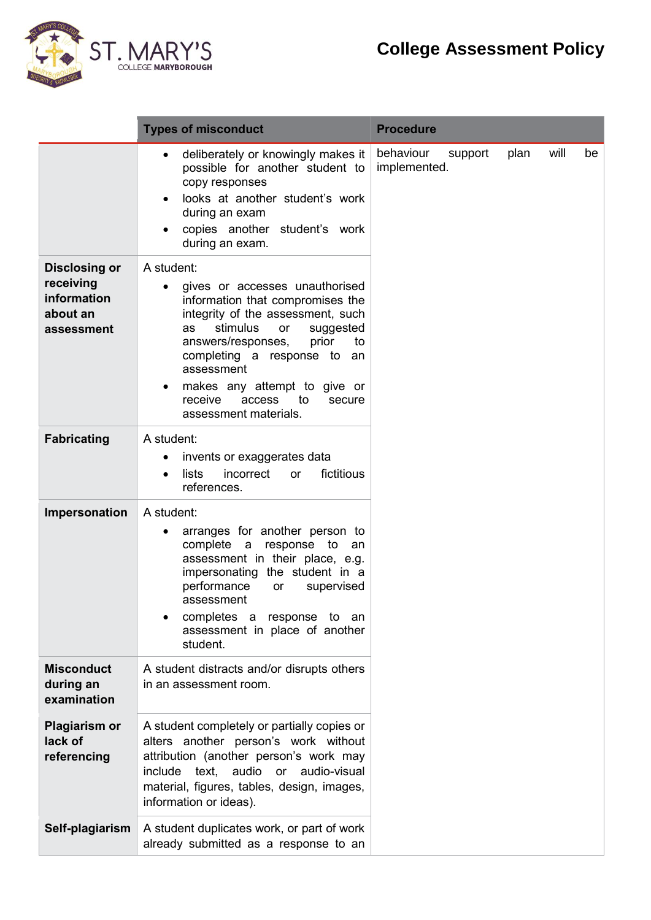# **College Assessment Policy**



|                                                                            | <b>Types of misconduct</b>                                                                                                                                                                                                                                                                                                                                        | <b>Procedure</b>                                           |
|----------------------------------------------------------------------------|-------------------------------------------------------------------------------------------------------------------------------------------------------------------------------------------------------------------------------------------------------------------------------------------------------------------------------------------------------------------|------------------------------------------------------------|
|                                                                            | deliberately or knowingly makes it<br>$\bullet$<br>possible for another student to<br>copy responses<br>looks at another student's work<br>during an exam<br>copies another student's work<br>during an exam.                                                                                                                                                     | behaviour<br>plan<br>will<br>support<br>be<br>implemented. |
| <b>Disclosing or</b><br>receiving<br>information<br>about an<br>assessment | A student:<br>gives or accesses unauthorised<br>$\bullet$<br>information that compromises the<br>integrity of the assessment, such<br>stimulus<br>as<br>or<br>suggested<br>answers/responses,<br>prior<br>to<br>completing a response to an<br>assessment<br>makes any attempt to give or<br>$\bullet$<br>receive<br>access to<br>secure<br>assessment materials. |                                                            |
| <b>Fabricating</b>                                                         | A student:<br>invents or exaggerates data<br>fictitious<br>incorrect<br>lists<br><b>or</b><br>references.                                                                                                                                                                                                                                                         |                                                            |
| Impersonation                                                              | A student:<br>arranges for another person to<br>complete a response to<br>an<br>assessment in their place, e.g.<br>impersonating the student in a<br>performance<br>supervised<br>or<br>assessment<br>completes a response to an<br>assessment in place of another<br>student.                                                                                    |                                                            |
| <b>Misconduct</b><br>during an<br>examination                              | A student distracts and/or disrupts others<br>in an assessment room.                                                                                                                                                                                                                                                                                              |                                                            |
| <b>Plagiarism or</b><br>lack of<br>referencing                             | A student completely or partially copies or<br>alters another person's work without<br>attribution (another person's work may<br>include text, audio or audio-visual<br>material, figures, tables, design, images,<br>information or ideas).                                                                                                                      |                                                            |
| Self-plagiarism                                                            | A student duplicates work, or part of work<br>already submitted as a response to an                                                                                                                                                                                                                                                                               |                                                            |